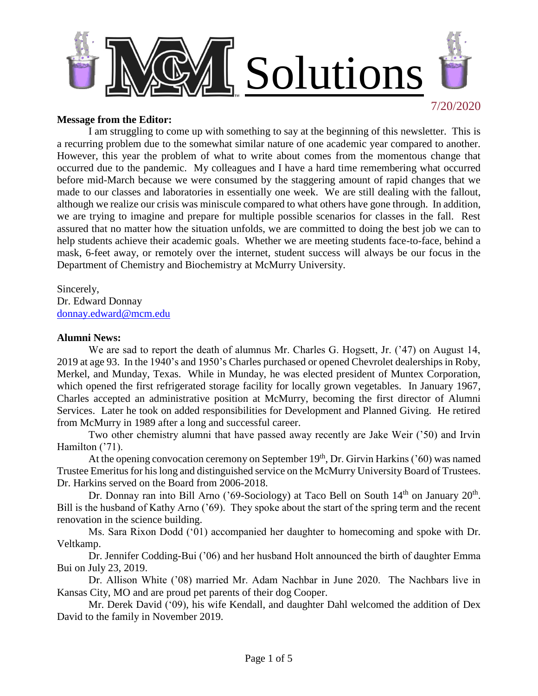

## **Message from the Editor:**

I am struggling to come up with something to say at the beginning of this newsletter. This is a recurring problem due to the somewhat similar nature of one academic year compared to another. However, this year the problem of what to write about comes from the momentous change that occurred due to the pandemic. My colleagues and I have a hard time remembering what occurred before mid-March because we were consumed by the staggering amount of rapid changes that we made to our classes and laboratories in essentially one week. We are still dealing with the fallout, although we realize our crisis was miniscule compared to what others have gone through. In addition, we are trying to imagine and prepare for multiple possible scenarios for classes in the fall. Rest assured that no matter how the situation unfolds, we are committed to doing the best job we can to help students achieve their academic goals. Whether we are meeting students face-to-face, behind a mask, 6-feet away, or remotely over the internet, student success will always be our focus in the Department of Chemistry and Biochemistry at McMurry University.

Sincerely, Dr. Edward Donnay [donnay.edward@mcm.edu](mailto:donnay.edward@mcm.edu)

## **Alumni News:**

We are sad to report the death of alumnus Mr. Charles G. Hogsett, Jr. ('47) on August 14, 2019 at age 93. In the 1940's and 1950's Charles purchased or opened Chevrolet dealerships in Roby, Merkel, and Munday, Texas. While in Munday, he was elected president of Muntex Corporation, which opened the first refrigerated storage facility for locally grown vegetables. In January 1967, Charles accepted an administrative position at McMurry, becoming the first director of Alumni Services. Later he took on added responsibilities for Development and Planned Giving. He retired from McMurry in 1989 after a long and successful career.

Two other chemistry alumni that have passed away recently are Jake Weir ('50) and Irvin Hamilton ('71).

At the opening convocation ceremony on September 19<sup>th</sup>, Dr. Girvin Harkins ('60) was named Trustee Emeritus for his long and distinguished service on the McMurry University Board of Trustees. Dr. Harkins served on the Board from 2006-2018.

Dr. Donnay ran into Bill Arno ('69-Sociology) at Taco Bell on South 14<sup>th</sup> on January 20<sup>th</sup>. Bill is the husband of Kathy Arno ('69). They spoke about the start of the spring term and the recent renovation in the science building.

Ms. Sara Rixon Dodd ('01) accompanied her daughter to homecoming and spoke with Dr. Veltkamp.

Dr. Jennifer Codding-Bui ('06) and her husband Holt announced the birth of daughter Emma Bui on July 23, 2019.

Dr. Allison White ('08) married Mr. Adam Nachbar in June 2020. The Nachbars live in Kansas City, MO and are proud pet parents of their dog Cooper.

Mr. Derek David ('09), his wife Kendall, and daughter Dahl welcomed the addition of Dex David to the family in November 2019.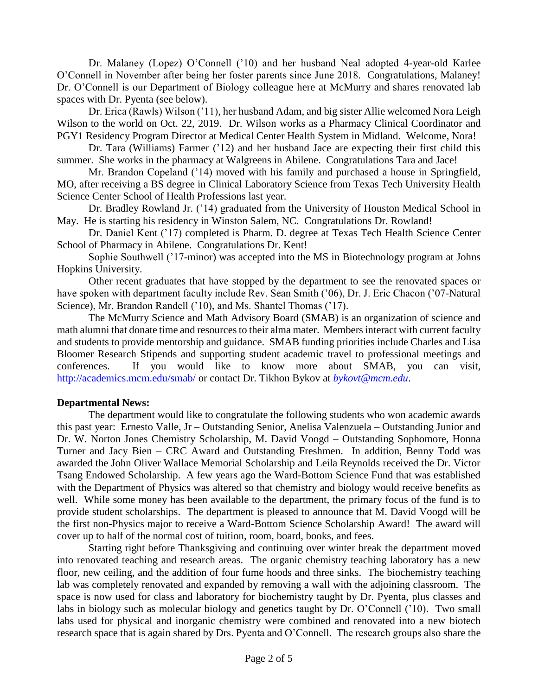Dr. Malaney (Lopez) O'Connell ('10) and her husband Neal adopted 4-year-old Karlee O'Connell in November after being her foster parents since June 2018. Congratulations, Malaney! Dr. O'Connell is our Department of Biology colleague here at McMurry and shares renovated lab spaces with Dr. Pyenta (see below).

Dr. Erica (Rawls) Wilson ('11), her husband Adam, and big sister Allie welcomed Nora Leigh Wilson to the world on Oct. 22, 2019. Dr. Wilson works as a Pharmacy Clinical Coordinator and PGY1 Residency Program Director at Medical Center Health System in Midland. Welcome, Nora!

Dr. Tara (Williams) Farmer ('12) and her husband Jace are expecting their first child this summer. She works in the pharmacy at Walgreens in Abilene. Congratulations Tara and Jace!

Mr. Brandon Copeland ('14) moved with his family and purchased a house in Springfield, MO, after receiving a BS degree in Clinical Laboratory Science from Texas Tech University Health Science Center School of Health Professions last year.

Dr. Bradley Rowland Jr. ('14) graduated from the University of Houston Medical School in May. He is starting his residency in Winston Salem, NC. Congratulations Dr. Rowland!

Dr. Daniel Kent ('17) completed is Pharm. D. degree at Texas Tech Health Science Center School of Pharmacy in Abilene. Congratulations Dr. Kent!

Sophie Southwell ('17-minor) was accepted into the MS in Biotechnology program at Johns Hopkins University.

Other recent graduates that have stopped by the department to see the renovated spaces or have spoken with department faculty include Rev. Sean Smith ('06), Dr. J. Eric Chacon ('07-Natural Science), Mr. Brandon Randell ('10), and Ms. Shantel Thomas ('17).

The McMurry Science and Math Advisory Board (SMAB) is an organization of science and math alumni that donate time and resources to their alma mater. Members interact with current faculty and students to provide mentorship and guidance. SMAB funding priorities include Charles and Lisa Bloomer Research Stipends and supporting student academic travel to professional meetings and conferences. If you would like to know more about SMAB, you can visit, <http://academics.mcm.edu/smab/> or contact Dr. Tikhon Bykov at *[bykovt@mcm.edu](mailto:bykovt@mcm.edu)*.

# **Departmental News:**

The department would like to congratulate the following students who won academic awards this past year: Ernesto Valle, Jr – Outstanding Senior, Anelisa Valenzuela – Outstanding Junior and Dr. W. Norton Jones Chemistry Scholarship, M. David Voogd – Outstanding Sophomore, Honna Turner and Jacy Bien – CRC Award and Outstanding Freshmen. In addition, Benny Todd was awarded the John Oliver Wallace Memorial Scholarship and Leila Reynolds received the Dr. Victor Tsang Endowed Scholarship. A few years ago the Ward-Bottom Science Fund that was established with the Department of Physics was altered so that chemistry and biology would receive benefits as well. While some money has been available to the department, the primary focus of the fund is to provide student scholarships. The department is pleased to announce that M. David Voogd will be the first non-Physics major to receive a Ward-Bottom Science Scholarship Award! The award will cover up to half of the normal cost of tuition, room, board, books, and fees.

Starting right before Thanksgiving and continuing over winter break the department moved into renovated teaching and research areas. The organic chemistry teaching laboratory has a new floor, new ceiling, and the addition of four fume hoods and three sinks. The biochemistry teaching lab was completely renovated and expanded by removing a wall with the adjoining classroom. The space is now used for class and laboratory for biochemistry taught by Dr. Pyenta, plus classes and labs in biology such as molecular biology and genetics taught by Dr. O'Connell ('10). Two small labs used for physical and inorganic chemistry were combined and renovated into a new biotech research space that is again shared by Drs. Pyenta and O'Connell. The research groups also share the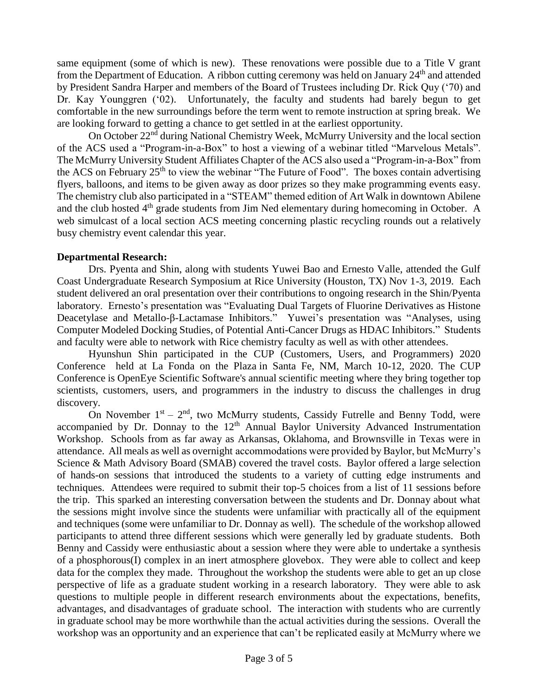same equipment (some of which is new). These renovations were possible due to a Title V grant from the Department of Education. A ribbon cutting ceremony was held on January 24<sup>th</sup> and attended by President Sandra Harper and members of the Board of Trustees including Dr. Rick Quy ('70) and Dr. Kay Younggren ('02). Unfortunately, the faculty and students had barely begun to get comfortable in the new surroundings before the term went to remote instruction at spring break. We are looking forward to getting a chance to get settled in at the earliest opportunity.

On October 22nd during National Chemistry Week, McMurry University and the local section of the ACS used a "Program-in-a-Box" to host a viewing of a webinar titled "Marvelous Metals". The McMurry University Student Affiliates Chapter of the ACS also used a "Program-in-a-Box" from the ACS on February 25th to view the webinar "The Future of Food". The boxes contain advertising flyers, balloons, and items to be given away as door prizes so they make programming events easy. The chemistry club also participated in a "STEAM" themed edition of Art Walk in downtown Abilene and the club hosted 4<sup>th</sup> grade students from Jim Ned elementary during homecoming in October. A web simulcast of a local section ACS meeting concerning plastic recycling rounds out a relatively busy chemistry event calendar this year.

# **Departmental Research:**

Drs. Pyenta and Shin, along with students Yuwei Bao and Ernesto Valle, attended the Gulf Coast Undergraduate Research Symposium at Rice University (Houston, TX) Nov 1-3, 2019. Each student delivered an oral presentation over their contributions to ongoing research in the Shin/Pyenta laboratory. Ernesto's presentation was "Evaluating Dual Targets of Fluorine Derivatives as Histone Deacetylase and Metallo-β-Lactamase Inhibitors." Yuwei's presentation was "Analyses, using Computer Modeled Docking Studies, of Potential Anti-Cancer Drugs as HDAC Inhibitors." Students and faculty were able to network with Rice chemistry faculty as well as with other attendees.

Hyunshun Shin participated in the CUP (Customers, Users, and Programmers) 2020 Conference held at [La Fonda on the Plaza](https://www.lafondasantafe.com/) in Santa Fe, NM, March 10-12, 2020. The CUP Conference is OpenEye Scientific Software's annual scientific meeting where they bring together top scientists, customers, users, and programmers in the industry to discuss the challenges in drug discovery.

On November  $1<sup>st</sup> - 2<sup>nd</sup>$ , two McMurry students, Cassidy Futrelle and Benny Todd, were accompanied by Dr. Donnay to the  $12<sup>th</sup>$  Annual Baylor University Advanced Instrumentation Workshop. Schools from as far away as Arkansas, Oklahoma, and Brownsville in Texas were in attendance. All meals as well as overnight accommodations were provided by Baylor, but McMurry's Science & Math Advisory Board (SMAB) covered the travel costs. Baylor offered a large selection of hands-on sessions that introduced the students to a variety of cutting edge instruments and techniques. Attendees were required to submit their top-5 choices from a list of 11 sessions before the trip. This sparked an interesting conversation between the students and Dr. Donnay about what the sessions might involve since the students were unfamiliar with practically all of the equipment and techniques (some were unfamiliar to Dr. Donnay as well). The schedule of the workshop allowed participants to attend three different sessions which were generally led by graduate students. Both Benny and Cassidy were enthusiastic about a session where they were able to undertake a synthesis of a phosphorous(I) complex in an inert atmosphere glovebox. They were able to collect and keep data for the complex they made. Throughout the workshop the students were able to get an up close perspective of life as a graduate student working in a research laboratory. They were able to ask questions to multiple people in different research environments about the expectations, benefits, advantages, and disadvantages of graduate school. The interaction with students who are currently in graduate school may be more worthwhile than the actual activities during the sessions. Overall the workshop was an opportunity and an experience that can't be replicated easily at McMurry where we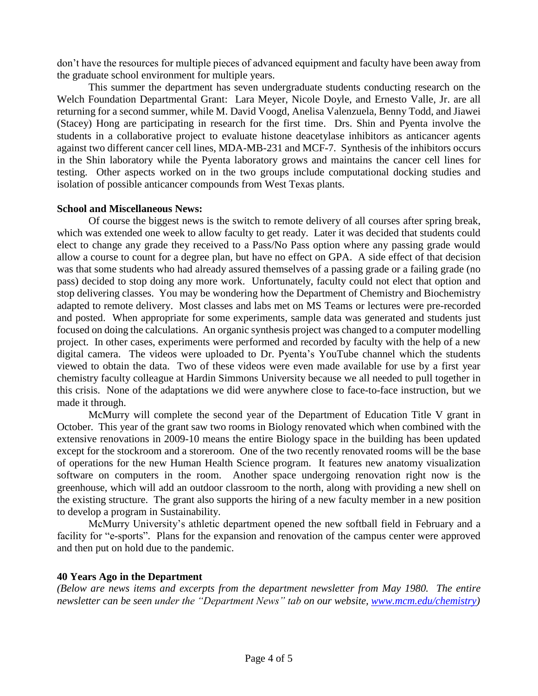don't have the resources for multiple pieces of advanced equipment and faculty have been away from the graduate school environment for multiple years.

This summer the department has seven undergraduate students conducting research on the Welch Foundation Departmental Grant: Lara Meyer, Nicole Doyle, and Ernesto Valle, Jr. are all returning for a second summer, while M. David Voogd, Anelisa Valenzuela, Benny Todd, and Jiawei (Stacey) Hong are participating in research for the first time. Drs. Shin and Pyenta involve the students in a collaborative project to evaluate histone deacetylase inhibitors as anticancer agents against two different cancer cell lines, MDA-MB-231 and MCF-7. Synthesis of the inhibitors occurs in the Shin laboratory while the Pyenta laboratory grows and maintains the cancer cell lines for testing. Other aspects worked on in the two groups include computational docking studies and isolation of possible anticancer compounds from West Texas plants.

# **School and Miscellaneous News:**

Of course the biggest news is the switch to remote delivery of all courses after spring break, which was extended one week to allow faculty to get ready. Later it was decided that students could elect to change any grade they received to a Pass/No Pass option where any passing grade would allow a course to count for a degree plan, but have no effect on GPA. A side effect of that decision was that some students who had already assured themselves of a passing grade or a failing grade (no pass) decided to stop doing any more work. Unfortunately, faculty could not elect that option and stop delivering classes. You may be wondering how the Department of Chemistry and Biochemistry adapted to remote delivery. Most classes and labs met on MS Teams or lectures were pre-recorded and posted. When appropriate for some experiments, sample data was generated and students just focused on doing the calculations. An organic synthesis project was changed to a computer modelling project. In other cases, experiments were performed and recorded by faculty with the help of a new digital camera. The videos were uploaded to Dr. Pyenta's YouTube channel which the students viewed to obtain the data. Two of these videos were even made available for use by a first year chemistry faculty colleague at Hardin Simmons University because we all needed to pull together in this crisis. None of the adaptations we did were anywhere close to face-to-face instruction, but we made it through.

McMurry will complete the second year of the Department of Education Title V grant in October. This year of the grant saw two rooms in Biology renovated which when combined with the extensive renovations in 2009-10 means the entire Biology space in the building has been updated except for the stockroom and a storeroom. One of the two recently renovated rooms will be the base of operations for the new Human Health Science program. It features new anatomy visualization software on computers in the room. Another space undergoing renovation right now is the greenhouse, which will add an outdoor classroom to the north, along with providing a new shell on the existing structure. The grant also supports the hiring of a new faculty member in a new position to develop a program in Sustainability.

McMurry University's athletic department opened the new softball field in February and a facility for "e-sports". Plans for the expansion and renovation of the campus center were approved and then put on hold due to the pandemic.

# **40 Years Ago in the Department**

*(Below are news items and excerpts from the department newsletter from May 1980. The entire newsletter can be seen under the "Department News" tab on our website, [www.mcm.edu/chemistry\)](http://www.mcm.edu/chemistry)*